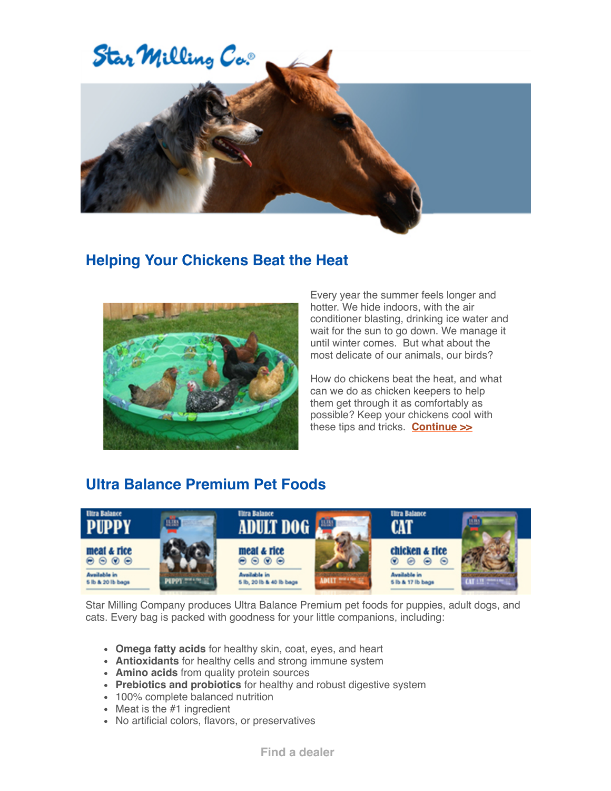

## **Helping Your Chickens Beat the Heat**



Every year the summer feels longer and hotter. We hide indoors, with the air conditioner blasting, drinking ice water and wait for the sun to go down. We manage it until winter comes. But what about the most delicate of our animals, our birds?

How do chickens beat the heat, and what can we do as chicken keepers to help them get through it as comfortably as possible? Keep your chickens cool with these tips and tricks. **Continue >>**

## **Ultra Balance Premium Pet Foods**



Star Milling Company produces Ultra Balance Premium pet foods for puppies, adult dogs, and cats. Every bag is packed with goodness for your little companions, including:

- **Omega fatty acids** for healthy skin, coat, eyes, and heart
- **Antioxidants** for healthy cells and strong immune system
- **Amino acids** from quality protein sources
- **Prebiotics and probiotics** for healthy and robust digestive system
- 100% complete balanced nutrition
- $\bullet$  Meat is the #1 ingredient
- No artificial colors, flavors, or preservatives